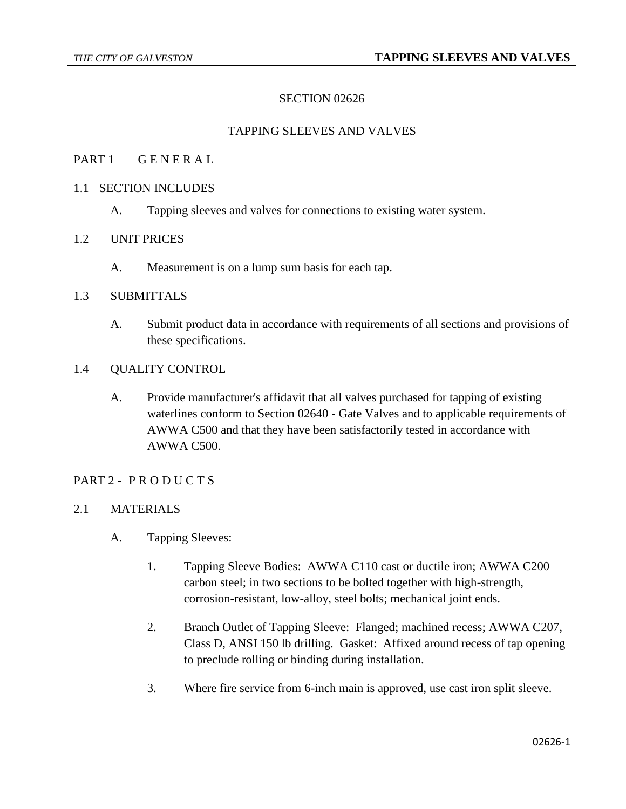# SECTION 02626

### TAPPING SLEEVES AND VALVES

### PART 1 GENERAL

### 1.1 SECTION INCLUDES

A. Tapping sleeves and valves for connections to existing water system.

# 1.2 UNIT PRICES

A. Measurement is on a lump sum basis for each tap.

### 1.3 SUBMITTALS

A. Submit product data in accordance with requirements of all sections and provisions of these specifications.

#### 1.4 QUALITY CONTROL

A. Provide manufacturer's affidavit that all valves purchased for tapping of existing waterlines conform to Section 02640 - Gate Valves and to applicable requirements of AWWA C500 and that they have been satisfactorily tested in accordance with AWWA C500.

#### PART 2 - PRODUCTS

#### 2.1 MATERIALS

- A. Tapping Sleeves:
	- 1. Tapping Sleeve Bodies: AWWA C110 cast or ductile iron; AWWA C200 carbon steel; in two sections to be bolted together with high-strength, corrosion-resistant, low-alloy, steel bolts; mechanical joint ends.
	- 2. Branch Outlet of Tapping Sleeve: Flanged; machined recess; AWWA C207, Class D, ANSI 150 lb drilling. Gasket: Affixed around recess of tap opening to preclude rolling or binding during installation.
	- 3. Where fire service from 6-inch main is approved, use cast iron split sleeve.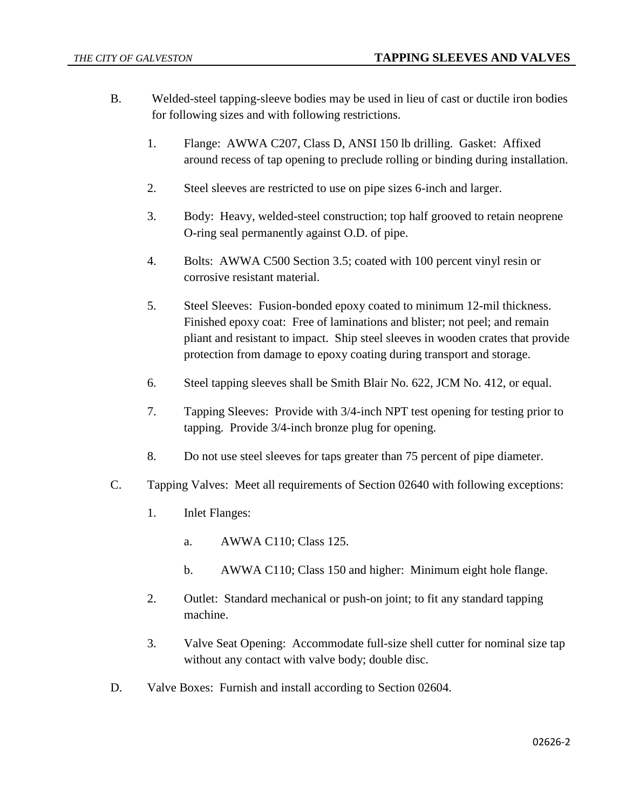- B. Welded-steel tapping-sleeve bodies may be used in lieu of cast or ductile iron bodies for following sizes and with following restrictions.
	- 1. Flange: AWWA C207, Class D, ANSI 150 lb drilling. Gasket: Affixed around recess of tap opening to preclude rolling or binding during installation.
	- 2. Steel sleeves are restricted to use on pipe sizes 6-inch and larger.
	- 3. Body: Heavy, welded-steel construction; top half grooved to retain neoprene O-ring seal permanently against O.D. of pipe.
	- 4. Bolts: AWWA C500 Section 3.5; coated with 100 percent vinyl resin or corrosive resistant material.
	- 5. Steel Sleeves: Fusion-bonded epoxy coated to minimum 12-mil thickness. Finished epoxy coat: Free of laminations and blister; not peel; and remain pliant and resistant to impact. Ship steel sleeves in wooden crates that provide protection from damage to epoxy coating during transport and storage.
	- 6. Steel tapping sleeves shall be Smith Blair No. 622, JCM No. 412, or equal.
	- 7. Tapping Sleeves: Provide with 3/4-inch NPT test opening for testing prior to tapping. Provide 3/4-inch bronze plug for opening.
	- 8. Do not use steel sleeves for taps greater than 75 percent of pipe diameter.
- C. Tapping Valves: Meet all requirements of Section 02640 with following exceptions:
	- 1. Inlet Flanges:
		- a. AWWA C110; Class 125.
		- b. AWWA C110; Class 150 and higher: Minimum eight hole flange.
	- 2. Outlet: Standard mechanical or push-on joint; to fit any standard tapping machine.
	- 3. Valve Seat Opening: Accommodate full-size shell cutter for nominal size tap without any contact with valve body; double disc.
- D. Valve Boxes: Furnish and install according to Section 02604.